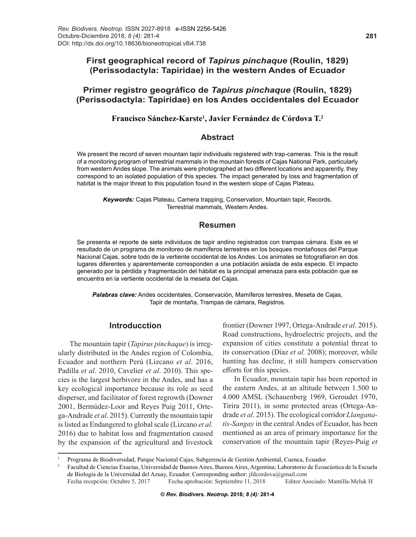# **Primer registro geográfico de** *Tapirus pinchaque* **(Roulin, 1829) (Perissodactyla: Tapiridae) en los Andes occidentales del Ecuador**

## **Francisco Sánchez-Karste1 , Javier Fernández de Córdova T.2**

#### **Abstract**

We present the record of seven mountain tapir individuals registered with trap-cameras. This is the result of a monitoring program of terrestrial mammals in the mountain forests of Cajas National Park, particularly from western Andes slope. The animals were photographed at two different locations and apparently, they correspond to an isolated population of this species. The impact generated by loss and fragmentation of habitat is the major threat to this population found in the western slope of Cajas Plateau.

*Keywords:* Cajas Plateau, Camera trapping, Conservation, Mountain tapir, Records, Terrestrial mammals, Western Andes.

## **Resumen**

Se presenta el reporte de siete individuos de tapir andino registrados con trampas cámara. Este es el resultado de un programa de monitoreo de mamíferos terrestres en los bosques montañosos del Parque Nacional Cajas, sobre todo de la vertiente occidental de los Andes. Los animales se fotografiaron en dos lugares diferentes y aparentemente corresponden a una población aislada de esta especie. El impacto generado por la pérdida y fragmentación del hábitat es la principal amenaza para esta población que se encuentra en la vertiente occidental de la meseta del Cajas.

*Palabras clave:* Andes occidentales, Conservación, Mamíferos terrestres, Meseta de Cajas, Tapir de montaña, Trampas de cámara, Registros.

# **Introducction**

The mountain tapir (*Tapirus pinchaque*) is irregularly distributed in the Andes region of Colombia, Ecuador and northern Perú (Lizcano *et al*. 2016, Padilla *et al*. 2010, Cavelier *et al*. 2010). This species is the largest herbivore in the Andes, and has a key ecological importance because its role as seed disperser, and facilitator of forest regrowth (Downer 2001, Bermúdez-Loor and Reyes Puig 2011, Ortega-Andrade *et al*. 2015). Currently the mountain tapir is listed as Endangered to global scale (Lizcano *et al.* 2016) due to habitat loss and fragmentation caused by the expansion of the agricultural and livestock

frontier (Downer 1997, Ortega-Andrade *et al*. 2015). Road constructions, hydroelectric projects, and the expansion of cities constitute a potential threat to its conservation (Díaz *et al.* 2008); moreover, while hunting has decline, it still hampers conservation efforts for this species.

In Ecuador, mountain tapir has been reported in the eastern Andes, at an altitude between 1.500 to 4.000 AMSL (Schauenberg 1969, Geroudet 1970, Tirira 2011), in some protected areas (Ortega-Andrade *et al*. 2015). The ecological corridor *Llanganatis-Sangay* in the central Andes of Ecuador, has been mentioned as an area of primary importance for the conservation of the mountain tapir (Reyes-Puig *et* 

Fecha recepción: Octubre 5, 2017 Fecha aprobación: Septiembre 11, 2018 Editor Asociado: Mantilla-Meluk H

**©** *Rev. Biodivers. Neotrop.* **2018;** *8 (4):* **281-4**

Programa de Biodiversidad, Parque Nacional Cajas, Subgerencia de Gestión Ambiental, Cuenca, Ecuador.<br><sup>2</sup> Facultad de Ciencias Exactas, Universidad de Buenos Aires, Buenos Aires, Argentina; Laboratorio de Ecoacústica de la de Biología de la Universidad del Azuay, Ecuador. Corresponding author: jfdcordova@gmail.com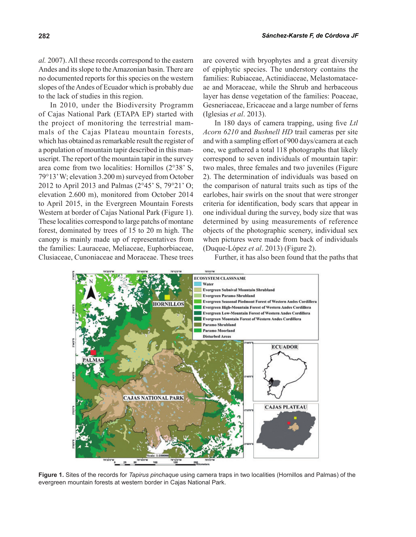*al.* 2007). All these records correspond to the eastern Andes and its slope to the Amazonian basin. There are no documented reports for this species on the western slopes of the Andes of Ecuador which is probably due to the lack of studies in this region.

In 2010, under the Biodiversity Programm of Cajas National Park (ETAPA EP) started with the project of monitoring the terrestrial mammals of the Cajas Plateau mountain forests, which has obtained as remarkable result the register of a population of mountain tapir described in this manuscript. The report of the mountain tapir in the survey area come from two localities: Hornillos (2°38' S, 79°13' W; elevation 3.200 m) surveyed from October 2012 to April 2013 and Palmas (2°45' S, 79°21' O; elevation 2.600 m), monitored from October 2014 to April 2015, in the Evergreen Mountain Forests Western at border of Cajas National Park (Figure 1). These localities correspond to large patchs of montane forest, dominated by trees of 15 to 20 m high. The canopy is mainly made up of representatives from the families: Lauraceae, Meliaceae, Euphorbiaceae, Clusiaceae, Cunoniaceae and Moraceae. These trees

are covered with bryophytes and a great diversity of epiphytic species. The understory contains the families: Rubiaceae, Actinidiaceae, Melastomataceae and Moraceae, while the Shrub and herbaceous layer has dense vegetation of the families: Poaceae, Gesneriaceae, Ericaceae and a large number of ferns (Iglesias *et al*. 2013).

In 180 days of camera trapping, using five *Ltl Acorn 6210* and *Bushnell HD* trail cameras per site and with a sampling effort of 900 days/camera at each one, we gathered a total 118 photographs that likely correspond to seven individuals of mountain tapir: two males, three females and two juveniles (Figure 2). The determination of individuals was based on the comparison of natural traits such as tips of the earlobes, hair swirls on the snout that were stronger criteria for identification, body scars that appear in one individual during the survey, body size that was determined by using measurements of reference objects of the photographic scenery, individual sex when pictures were made from back of individuals (Duque-López *et al*. 2013) (Figure 2).

Further, it has also been found that the paths that



**Figure 1.** Sites of the records for *Tapirus pinchaque* using camera traps in two localities (Hornillos and Palmas) of the evergreen mountain forests at western border in Cajas National Park.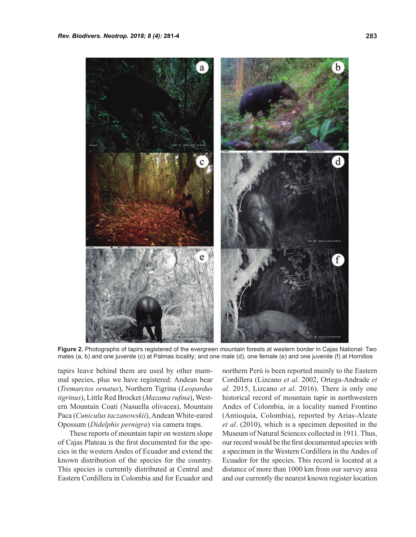

**Figure 2.** Photographs of tapirs registered of the evergreen mountain forests at western border in Cajas National: Two males (a, b) and one juvenile (c) at Palmas locality; and one male (d), one female (e) and one juvenile (f) at Hornillos

tapirs leave behind them are used by other mammal species, plus we have registered: Andean bear (*Tremarctos ornatus*), Northern Tigrina (*Leopardus tigrinus*), Little Red Brocket (*Mazama rufina*), Western Mountain Coati (Nasuella olivacea), Mountain Paca (*Cuniculus taczanowskii*), Andean White-eared Opossum (*Didelphis pernigra*) via camera traps.

These reports of mountain tapir on western slope of Cajas Plateau is the first documented for the species in the western Andes of Ecuador and extend the known distribution of the species for the country. This species is currently distributed at Central and Eastern Cordillera in Colombia and for Ecuador and

northern Perú is been reported mainly to the Eastern Cordillera (Lizcano *et al*. 2002, Ortega-Andrade *et al.* 2015, Lizcano *et al*. 2016). There is only one historical record of mountain tapir in northwestern Andes of Colombia, in a locality named Frontino (Antioquia, Colombia), reported by Arias-Alzate *et al*. (2010), which is a specimen deposited in the Museum of Natural Sciences collected in 1911. Thus, our record would be the first documented species with a specimen in the Western Cordillera in the Andes of Ecuador for the species. This record is located at a distance of more than 1000 km from our survey area and our currently the nearest known register location